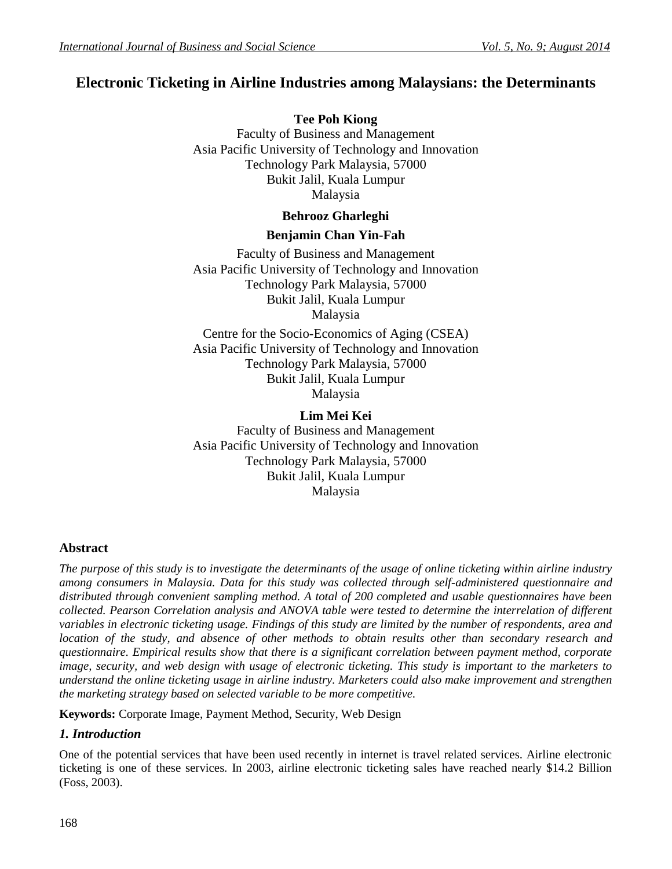# **Electronic Ticketing in Airline Industries among Malaysians: the Determinants**

**Tee Poh Kiong** Faculty of Business and Management Asia Pacific University of Technology and Innovation Technology Park Malaysia, 57000 Bukit Jalil, Kuala Lumpur Malaysia

#### **Behrooz Gharleghi**

#### **Benjamin Chan Yin-Fah**

Faculty of Business and Management Asia Pacific University of Technology and Innovation Technology Park Malaysia, 57000 Bukit Jalil, Kuala Lumpur Malaysia

Centre for the Socio-Economics of Aging (CSEA) Asia Pacific University of Technology and Innovation Technology Park Malaysia, 57000 Bukit Jalil, Kuala Lumpur Malaysia

### **Lim Mei Kei**

Faculty of Business and Management Asia Pacific University of Technology and Innovation Technology Park Malaysia, 57000 Bukit Jalil, Kuala Lumpur Malaysia

### **Abstract**

*The purpose of this study is to investigate the determinants of the usage of online ticketing within airline industry among consumers in Malaysia. Data for this study was collected through self-administered questionnaire and distributed through convenient sampling method. A total of 200 completed and usable questionnaires have been collected. Pearson Correlation analysis and ANOVA table were tested to determine the interrelation of different variables in electronic ticketing usage. Findings of this study are limited by the number of respondents, area and location of the study, and absence of other methods to obtain results other than secondary research and questionnaire. Empirical results show that there is a significant correlation between payment method, corporate image, security, and web design with usage of electronic ticketing. This study is important to the marketers to understand the online ticketing usage in airline industry. Marketers could also make improvement and strengthen the marketing strategy based on selected variable to be more competitive.*

**Keywords:** Corporate Image, Payment Method, Security, Web Design

### *1. Introduction*

One of the potential services that have been used recently in internet is travel related services. Airline electronic ticketing is one of these services. In 2003, airline electronic ticketing sales have reached nearly \$14.2 Billion (Foss, 2003).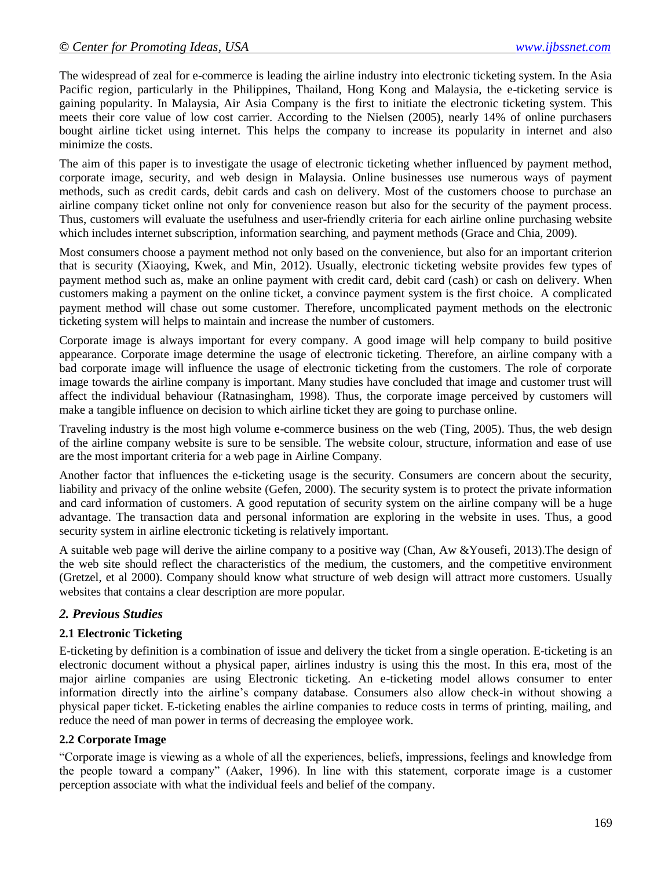The widespread of zeal for e-commerce is leading the airline industry into electronic ticketing system. In the Asia Pacific region, particularly in the Philippines, Thailand, Hong Kong and Malaysia, the e-ticketing service is gaining popularity. In Malaysia, Air Asia Company is the first to initiate the electronic ticketing system. This meets their core value of low cost carrier. According to the Nielsen (2005), nearly 14% of online purchasers bought airline ticket using internet. This helps the company to increase its popularity in internet and also minimize the costs.

The aim of this paper is to investigate the usage of electronic ticketing whether influenced by payment method, corporate image, security, and web design in Malaysia. Online businesses use numerous ways of payment methods, such as credit cards, debit cards and cash on delivery. Most of the customers choose to purchase an airline company ticket online not only for convenience reason but also for the security of the payment process. Thus, customers will evaluate the usefulness and user-friendly criteria for each airline online purchasing website which includes internet subscription, information searching, and payment methods (Grace and Chia, 2009).

Most consumers choose a payment method not only based on the convenience, but also for an important criterion that is security (Xiaoying, Kwek, and Min, 2012). Usually, electronic ticketing website provides few types of payment method such as, make an online payment with credit card, debit card (cash) or cash on delivery. When customers making a payment on the online ticket, a convince payment system is the first choice. A complicated payment method will chase out some customer. Therefore, uncomplicated payment methods on the electronic ticketing system will helps to maintain and increase the number of customers.

Corporate image is always important for every company. A good image will help company to build positive appearance. Corporate image determine the usage of electronic ticketing. Therefore, an airline company with a bad corporate image will influence the usage of electronic ticketing from the customers. The role of corporate image towards the airline company is important. Many studies have concluded that image and customer trust will affect the individual behaviour (Ratnasingham, 1998). Thus, the corporate image perceived by customers will make a tangible influence on decision to which airline ticket they are going to purchase online.

Traveling industry is the most high volume e-commerce business on the web (Ting, 2005). Thus, the web design of the airline company website is sure to be sensible. The website colour, structure, information and ease of use are the most important criteria for a web page in Airline Company.

Another factor that influences the e-ticketing usage is the security. Consumers are concern about the security, liability and privacy of the online website (Gefen, 2000). The security system is to protect the private information and card information of customers. A good reputation of security system on the airline company will be a huge advantage. The transaction data and personal information are exploring in the website in uses. Thus, a good security system in airline electronic ticketing is relatively important.

A suitable web page will derive the airline company to a positive way (Chan, Aw &Yousefi, 2013).The design of the web site should reflect the characteristics of the medium, the customers, and the competitive environment (Gretzel, et al 2000). Company should know what structure of web design will attract more customers. Usually websites that contains a clear description are more popular.

### *2. Previous Studies*

### **2.1 Electronic Ticketing**

E-ticketing by definition is a combination of issue and delivery the ticket from a single operation. E-ticketing is an electronic document without a physical paper, airlines industry is using this the most. In this era, most of the major airline companies are using Electronic ticketing. An e-ticketing model allows consumer to enter information directly into the airline's company database. Consumers also allow check-in without showing a physical paper ticket. E-ticketing enables the airline companies to reduce costs in terms of printing, mailing, and reduce the need of man power in terms of decreasing the employee work.

### **2.2 Corporate Image**

"Corporate image is viewing as a whole of all the experiences, beliefs, impressions, feelings and knowledge from the people toward a company" (Aaker, 1996). In line with this statement, corporate image is a customer perception associate with what the individual feels and belief of the company.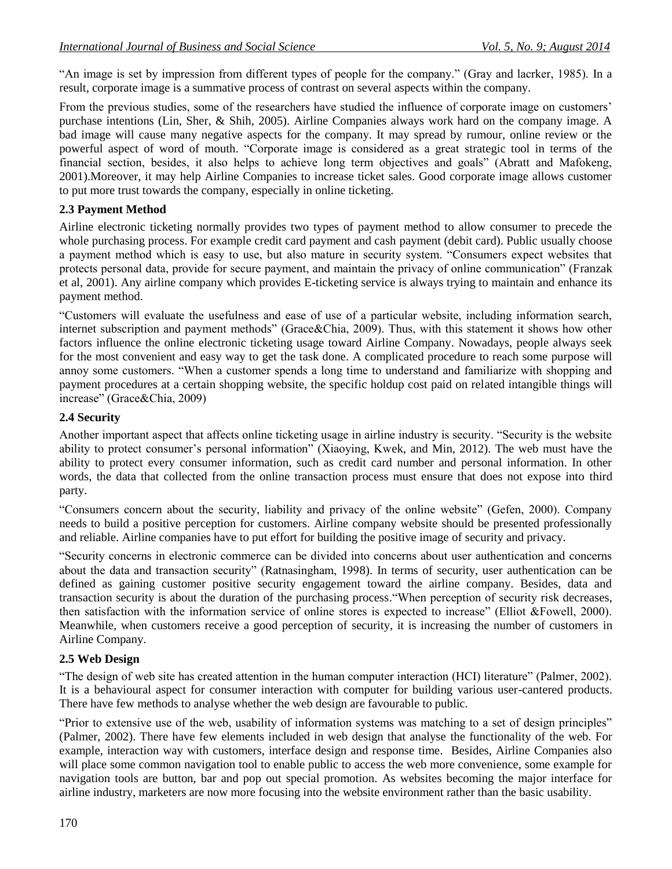"An image is set by impression from different types of people for the company." (Gray and lacrker, 1985). In a result, corporate image is a summative process of contrast on several aspects within the company.

From the previous studies, some of the researchers have studied the influence of corporate image on customers' purchase intentions (Lin, Sher, & Shih, 2005). Airline Companies always work hard on the company image. A bad image will cause many negative aspects for the company. It may spread by rumour, online review or the powerful aspect of word of mouth. "Corporate image is considered as a great strategic tool in terms of the financial section, besides, it also helps to achieve long term objectives and goals" (Abratt and Mafokeng, 2001).Moreover, it may help Airline Companies to increase ticket sales. Good corporate image allows customer to put more trust towards the company, especially in online ticketing.

### **2.3 Payment Method**

Airline electronic ticketing normally provides two types of payment method to allow consumer to precede the whole purchasing process. For example credit card payment and cash payment (debit card). Public usually choose a payment method which is easy to use, but also mature in security system. "Consumers expect websites that protects personal data, provide for secure payment, and maintain the privacy of online communication" (Franzak et al, 2001). Any airline company which provides E-ticketing service is always trying to maintain and enhance its payment method.

"Customers will evaluate the usefulness and ease of use of a particular website, including information search, internet subscription and payment methods" (Grace&Chia, 2009). Thus, with this statement it shows how other factors influence the online electronic ticketing usage toward Airline Company. Nowadays, people always seek for the most convenient and easy way to get the task done. A complicated procedure to reach some purpose will annoy some customers. "When a customer spends a long time to understand and familiarize with shopping and payment procedures at a certain shopping website, the specific holdup cost paid on related intangible things will increase" (Grace&Chia, 2009)

#### **2.4 Security**

Another important aspect that affects online ticketing usage in airline industry is security. "Security is the website ability to protect consumer's personal information" (Xiaoying, Kwek, and Min, 2012). The web must have the ability to protect every consumer information, such as credit card number and personal information. In other words, the data that collected from the online transaction process must ensure that does not expose into third party.

"Consumers concern about the security, liability and privacy of the online website" (Gefen, 2000). Company needs to build a positive perception for customers. Airline company website should be presented professionally and reliable. Airline companies have to put effort for building the positive image of security and privacy.

"Security concerns in electronic commerce can be divided into concerns about user authentication and concerns about the data and transaction security" (Ratnasingham, 1998). In terms of security, user authentication can be defined as gaining customer positive security engagement toward the airline company. Besides, data and transaction security is about the duration of the purchasing process."When perception of security risk decreases, then satisfaction with the information service of online stores is expected to increase" (Elliot &Fowell, 2000). Meanwhile, when customers receive a good perception of security, it is increasing the number of customers in Airline Company.

#### **2.5 Web Design**

"The design of web site has created attention in the human computer interaction (HCI) literature" (Palmer, 2002). It is a behavioural aspect for consumer interaction with computer for building various user-cantered products. There have few methods to analyse whether the web design are favourable to public.

"Prior to extensive use of the web, usability of information systems was matching to a set of design principles" (Palmer, 2002). There have few elements included in web design that analyse the functionality of the web. For example, interaction way with customers, interface design and response time. Besides, Airline Companies also will place some common navigation tool to enable public to access the web more convenience, some example for navigation tools are button, bar and pop out special promotion. As websites becoming the major interface for airline industry, marketers are now more focusing into the website environment rather than the basic usability.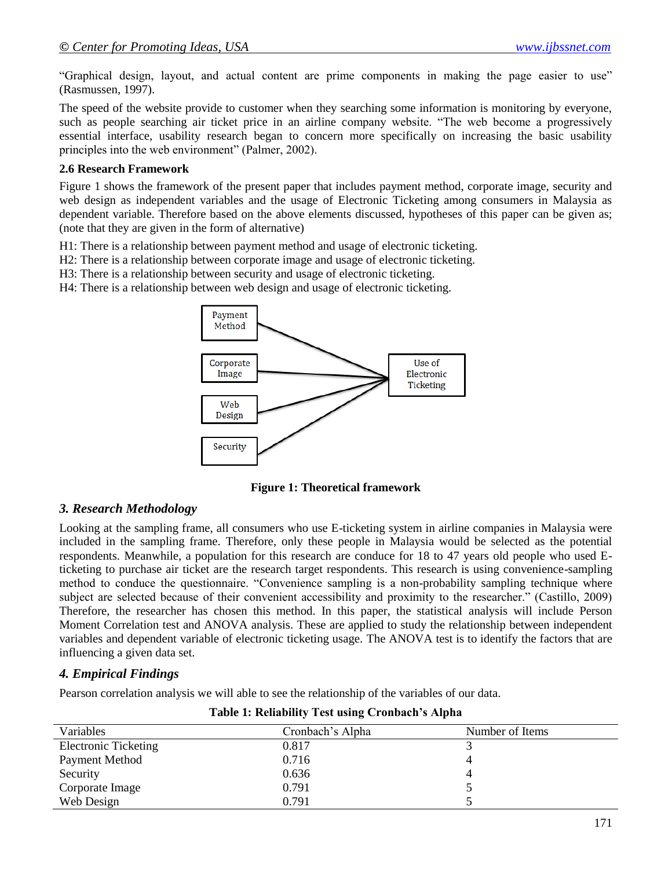"Graphical design, layout, and actual content are prime components in making the page easier to use" (Rasmussen, 1997).

The speed of the website provide to customer when they searching some information is monitoring by everyone, such as people searching air ticket price in an airline company website. "The web become a progressively essential interface, usability research began to concern more specifically on increasing the basic usability principles into the web environment" (Palmer, 2002).

#### **2.6 Research Framework**

Figure 1 shows the framework of the present paper that includes payment method, corporate image, security and web design as independent variables and the usage of Electronic Ticketing among consumers in Malaysia as dependent variable. Therefore based on the above elements discussed, hypotheses of this paper can be given as; (note that they are given in the form of alternative)

H1: There is a relationship between payment method and usage of electronic ticketing.

H2: There is a relationship between corporate image and usage of electronic ticketing.

H3: There is a relationship between security and usage of electronic ticketing.

H4: There is a relationship between web design and usage of electronic ticketing.



**Figure 1: Theoretical framework**

### *3. Research Methodology*

Looking at the sampling frame, all consumers who use E-ticketing system in airline companies in Malaysia were included in the sampling frame. Therefore, only these people in Malaysia would be selected as the potential respondents. Meanwhile, a population for this research are conduce for 18 to 47 years old people who used Eticketing to purchase air ticket are the research target respondents. This research is using convenience-sampling method to conduce the questionnaire. "Convenience sampling is a non-probability sampling technique where subject are selected because of their convenient accessibility and proximity to the researcher." (Castillo, 2009) Therefore, the researcher has chosen this method. In this paper, the statistical analysis will include Person Moment Correlation test and ANOVA analysis. These are applied to study the relationship between independent variables and dependent variable of electronic ticketing usage. The ANOVA test is to identify the factors that are influencing a given data set.

### *4. Empirical Findings*

Pearson correlation analysis we will able to see the relationship of the variables of our data.

| Variables                   | Cronbach's Alpha | Number of Items |
|-----------------------------|------------------|-----------------|
| <b>Electronic Ticketing</b> | 0.817            |                 |
| Payment Method              | 0.716            |                 |
| Security                    | 0.636            |                 |
| Corporate Image             | 0.791            |                 |
| Web Design                  | 0.791            |                 |

#### **Table 1: Reliability Test using Cronbach's Alpha**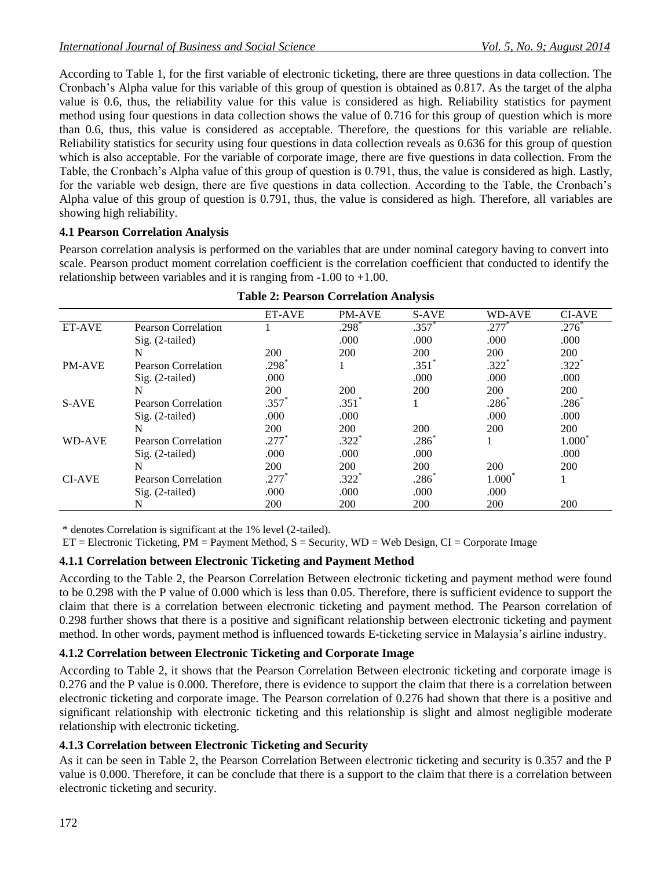According to Table 1, for the first variable of electronic ticketing, there are three questions in data collection. The Cronbach's Alpha value for this variable of this group of question is obtained as 0.817. As the target of the alpha value is 0.6, thus, the reliability value for this value is considered as high. Reliability statistics for payment method using four questions in data collection shows the value of 0.716 for this group of question which is more than 0.6, thus, this value is considered as acceptable. Therefore, the questions for this variable are reliable. Reliability statistics for security using four questions in data collection reveals as 0.636 for this group of question which is also acceptable. For the variable of corporate image, there are five questions in data collection. From the Table, the Cronbach's Alpha value of this group of question is 0.791, thus, the value is considered as high. Lastly, for the variable web design, there are five questions in data collection. According to the Table, the Cronbach's Alpha value of this group of question is 0.791, thus, the value is considered as high. Therefore, all variables are showing high reliability.

### **4.1 Pearson Correlation Analysis**

Pearson correlation analysis is performed on the variables that are under nominal category having to convert into scale. Pearson product moment correlation coefficient is the correlation coefficient that conducted to identify the relationship between variables and it is ranging from -1.00 to +1.00.

|               |                            | <b>ET-AVE</b>       | <b>PM-AVE</b>       | S-AVE               | WD-AVE              | <b>CI-AVE</b>   |
|---------------|----------------------------|---------------------|---------------------|---------------------|---------------------|-----------------|
| <b>ET-AVE</b> | Pearson Correlation        |                     | $.298*$             | $.357*$             | $.277*$             | $.276*$         |
|               | $Sig. (2-tailed)$          |                     | .000                | .000                | .000                | .000            |
|               | N                          | 200                 | 200                 | 200                 | 200                 | 200             |
| <b>PM-AVE</b> | Pearson Correlation        | $.298$ <sup>*</sup> |                     | $.351$ <sup>2</sup> | $.322$ <sup>*</sup> | $.322*$         |
|               | $Sig. (2-tailed)$          | .000                |                     | .000                | .000                | .000            |
|               | N                          | 200                 | 200                 | 200                 | 200                 | 200             |
| S-AVE         | Pearson Correlation        | .357                | $.351$ <sup>*</sup> |                     | .286                | .286            |
|               | $Sig. (2-tailed)$          | .000                | .000                |                     | .000                | .000            |
|               | N                          | 200                 | 200                 | 200                 | 200                 | 200             |
| <b>WD-AVE</b> | Pearson Correlation        | $.277*$             | $.322$ <sup>*</sup> | .286                |                     | $1.000^{\circ}$ |
|               | $Sig. (2-tailed)$          | .000                | .000                | .000                |                     | .000            |
|               | N                          | 200                 | 200                 | 200                 | 200                 | 200             |
| <b>CI-AVE</b> | <b>Pearson Correlation</b> | .277                | $.322*$             | .286°               | $1.000^{\circ}$     |                 |
|               | $Sig. (2-tailed)$          | .000                | .000                | .000                | .000                |                 |
|               | N                          | 200                 | 200                 | 200                 | 200                 | 200             |

|  | <b>Table 2: Pearson Correlation Analysis</b> |  |
|--|----------------------------------------------|--|
|  |                                              |  |

\* denotes Correlation is significant at the 1% level (2-tailed).

 $ET = Electronic$  Ticketing,  $PM =$  Payment Method,  $S =$  Security,  $WD =$  Web Design,  $CI =$  Corporate Image

# **4.1.1 Correlation between Electronic Ticketing and Payment Method**

According to the Table 2, the Pearson Correlation Between electronic ticketing and payment method were found to be 0.298 with the P value of 0.000 which is less than 0.05. Therefore, there is sufficient evidence to support the claim that there is a correlation between electronic ticketing and payment method. The Pearson correlation of 0.298 further shows that there is a positive and significant relationship between electronic ticketing and payment method. In other words, payment method is influenced towards E-ticketing service in Malaysia's airline industry.

# **4.1.2 Correlation between Electronic Ticketing and Corporate Image**

According to Table 2, it shows that the Pearson Correlation Between electronic ticketing and corporate image is 0.276 and the P value is 0.000. Therefore, there is evidence to support the claim that there is a correlation between electronic ticketing and corporate image. The Pearson correlation of 0.276 had shown that there is a positive and significant relationship with electronic ticketing and this relationship is slight and almost negligible moderate relationship with electronic ticketing.

# **4.1.3 Correlation between Electronic Ticketing and Security**

As it can be seen in Table 2, the Pearson Correlation Between electronic ticketing and security is 0.357 and the P value is 0.000. Therefore, it can be conclude that there is a support to the claim that there is a correlation between electronic ticketing and security.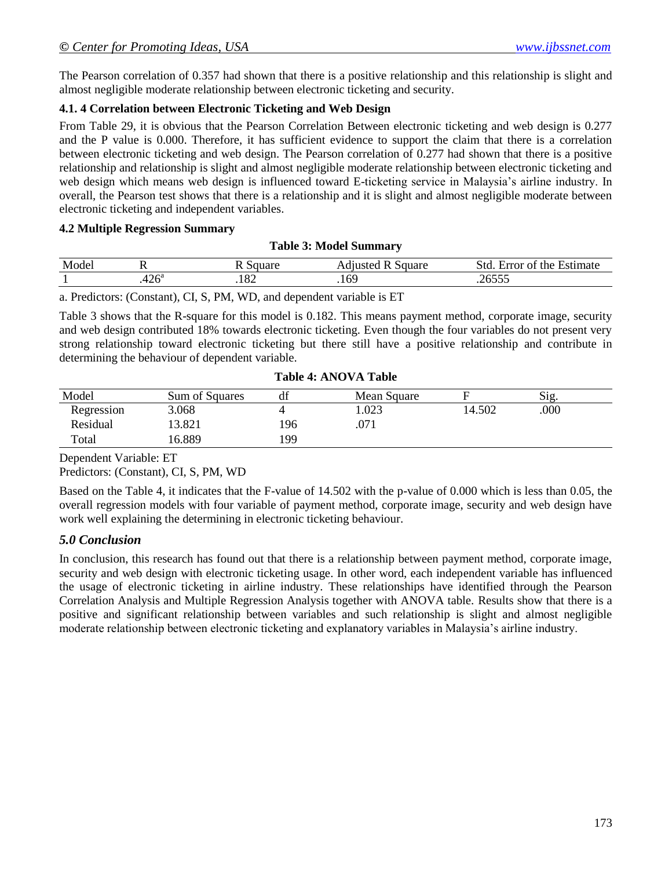The Pearson correlation of 0.357 had shown that there is a positive relationship and this relationship is slight and almost negligible moderate relationship between electronic ticketing and security.

# **4.1. 4 Correlation between Electronic Ticketing and Web Design**

From Table 29, it is obvious that the Pearson Correlation Between electronic ticketing and web design is 0.277 and the P value is 0.000. Therefore, it has sufficient evidence to support the claim that there is a correlation between electronic ticketing and web design. The Pearson correlation of 0.277 had shown that there is a positive relationship and relationship is slight and almost negligible moderate relationship between electronic ticketing and web design which means web design is influenced toward E-ticketing service in Malaysia's airline industry. In overall, the Pearson test shows that there is a relationship and it is slight and almost negligible moderate between electronic ticketing and independent variables.

#### **4.2 Multiple Regression Summary**

| Model | . .                 | Square<br>┸┺ | Square<br>11usted | −<br>. Std.<br>the<br>error of<br>Estimate<br>LИ |
|-------|---------------------|--------------|-------------------|--------------------------------------------------|
|       | $.426$ <sup>a</sup> | .104         | .169              |                                                  |

**Table 3: Model Summary**

a. Predictors: (Constant), CI, S, PM, WD, and dependent variable is ET

Table 3 shows that the R-square for this model is 0.182. This means payment method, corporate image, security and web design contributed 18% towards electronic ticketing. Even though the four variables do not present very strong relationship toward electronic ticketing but there still have a positive relationship and contribute in determining the behaviour of dependent variable.

| Model      | Sum of Squares | df  | Mean Square |        | Sig  |  |
|------------|----------------|-----|-------------|--------|------|--|
| Regression | 3.068          |     | .023        | 14.502 | .000 |  |
| Residual   | 13.821         | 196 | .071        |        |      |  |
| Total      | 6.889          | 199 |             |        |      |  |

#### **Table 4: ANOVA Table**

Dependent Variable: ET

Predictors: (Constant), CI, S, PM, WD

Based on the Table 4, it indicates that the F-value of 14.502 with the p-value of 0.000 which is less than 0.05, the overall regression models with four variable of payment method, corporate image, security and web design have work well explaining the determining in electronic ticketing behaviour.

# *5.0 Conclusion*

In conclusion, this research has found out that there is a relationship between payment method, corporate image, security and web design with electronic ticketing usage. In other word, each independent variable has influenced the usage of electronic ticketing in airline industry. These relationships have identified through the Pearson Correlation Analysis and Multiple Regression Analysis together with ANOVA table. Results show that there is a positive and significant relationship between variables and such relationship is slight and almost negligible moderate relationship between electronic ticketing and explanatory variables in Malaysia's airline industry.